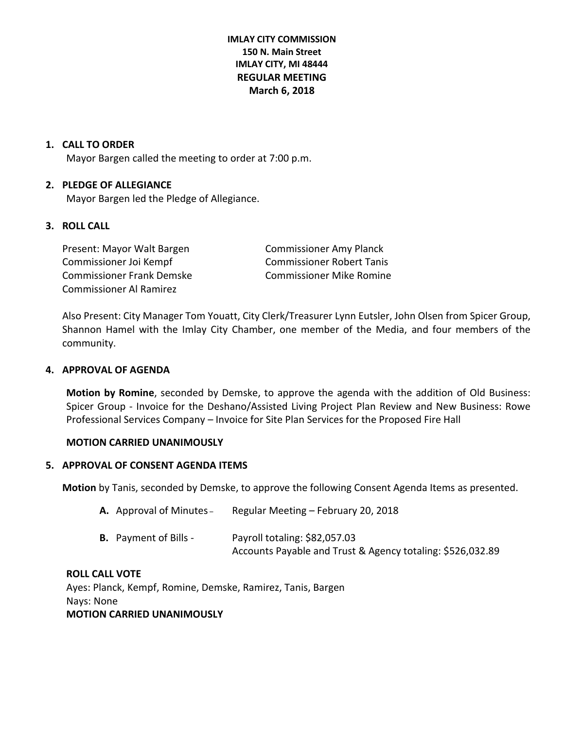**IMLAY CITY COMMISSION 150 N. Main Street IMLAY CITY, MI 48444 REGULAR MEETING March 6, 2018**

#### **1. CALL TO ORDER**

Mayor Bargen called the meeting to order at 7:00 p.m.

#### **2. PLEDGE OF ALLEGIANCE**

Mayor Bargen led the Pledge of Allegiance.

# **3. ROLL CALL**

Present: Mayor Walt Bargen Commissioner Amy Planck Commissioner Joi Kempf Commissioner Robert Tanis Commissioner Frank Demske Commissioner Mike Romine Commissioner Al Ramirez

Also Present: City Manager Tom Youatt, City Clerk/Treasurer Lynn Eutsler, John Olsen from Spicer Group, Shannon Hamel with the Imlay City Chamber, one member of the Media, and four members of the community.

#### **4. APPROVAL OF AGENDA**

**Motion by Romine**, seconded by Demske, to approve the agenda with the addition of Old Business: Spicer Group - Invoice for the Deshano/Assisted Living Project Plan Review and New Business: Rowe Professional Services Company – Invoice for Site Plan Services for the Proposed Fire Hall

#### **MOTION CARRIED UNANIMOUSLY**

#### **5. APPROVAL OF CONSENT AGENDA ITEMS**

**Motion** by Tanis, seconded by Demske, to approve the following Consent Agenda Items as presented.

| <b>A.</b> Approval of Minutes – | Regular Meeting - February 20, 2018                        |
|---------------------------------|------------------------------------------------------------|
| <b>B.</b> Payment of Bills -    | Payroll totaling: \$82,057.03                              |
|                                 | Accounts Payable and Trust & Agency totaling: \$526,032.89 |

# **ROLL CALL VOTE**

Ayes: Planck, Kempf, Romine, Demske, Ramirez, Tanis, Bargen Nays: None **MOTION CARRIED UNANIMOUSLY**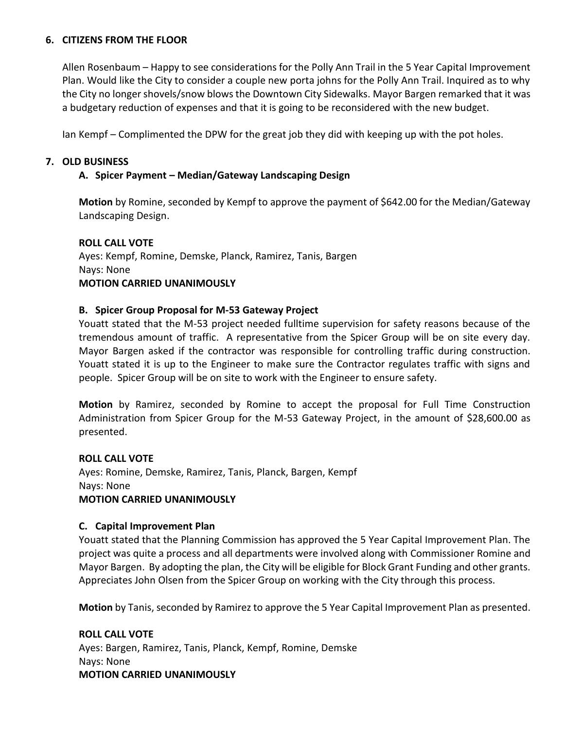# **6. CITIZENS FROM THE FLOOR**

Allen Rosenbaum – Happy to see considerations for the Polly Ann Trail in the 5 Year Capital Improvement Plan. Would like the City to consider a couple new porta johns for the Polly Ann Trail. Inquired as to why the City no longer shovels/snow blows the Downtown City Sidewalks. Mayor Bargen remarked that it was a budgetary reduction of expenses and that it is going to be reconsidered with the new budget.

Ian Kempf – Complimented the DPW for the great job they did with keeping up with the pot holes.

# **7. OLD BUSINESS**

# **A. Spicer Payment – Median/Gateway Landscaping Design**

**Motion** by Romine, seconded by Kempf to approve the payment of \$642.00 for the Median/Gateway Landscaping Design.

# **ROLL CALL VOTE**

Ayes: Kempf, Romine, Demske, Planck, Ramirez, Tanis, Bargen Nays: None **MOTION CARRIED UNANIMOUSLY**

# **B. Spicer Group Proposal for M-53 Gateway Project**

Youatt stated that the M-53 project needed fulltime supervision for safety reasons because of the tremendous amount of traffic. A representative from the Spicer Group will be on site every day. Mayor Bargen asked if the contractor was responsible for controlling traffic during construction. Youatt stated it is up to the Engineer to make sure the Contractor regulates traffic with signs and people. Spicer Group will be on site to work with the Engineer to ensure safety.

**Motion** by Ramirez, seconded by Romine to accept the proposal for Full Time Construction Administration from Spicer Group for the M-53 Gateway Project, in the amount of \$28,600.00 as presented.

# **ROLL CALL VOTE**

Ayes: Romine, Demske, Ramirez, Tanis, Planck, Bargen, Kempf Nays: None **MOTION CARRIED UNANIMOUSLY**

#### **C. Capital Improvement Plan**

Youatt stated that the Planning Commission has approved the 5 Year Capital Improvement Plan. The project was quite a process and all departments were involved along with Commissioner Romine and Mayor Bargen. By adopting the plan, the City will be eligible for Block Grant Funding and other grants. Appreciates John Olsen from the Spicer Group on working with the City through this process.

**Motion** by Tanis, seconded by Ramirez to approve the 5 Year Capital Improvement Plan as presented.

**ROLL CALL VOTE** Ayes: Bargen, Ramirez, Tanis, Planck, Kempf, Romine, Demske Nays: None **MOTION CARRIED UNANIMOUSLY**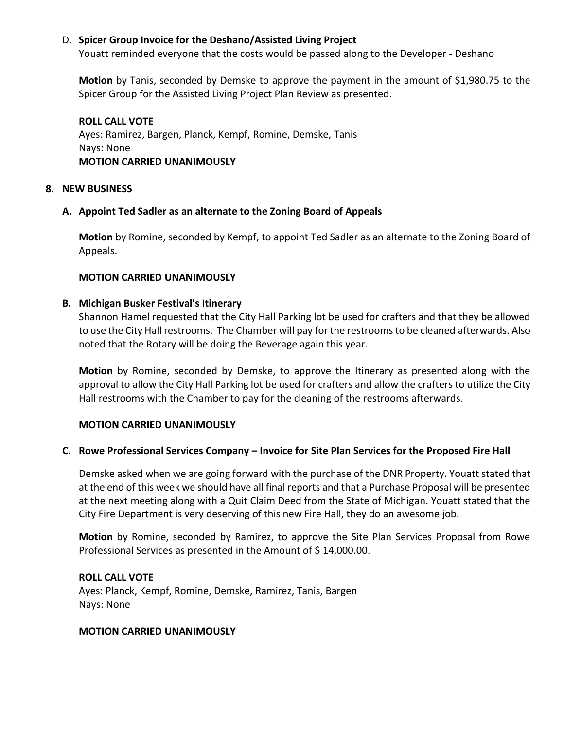# D. **Spicer Group Invoice for the Deshano/Assisted Living Project**

Youatt reminded everyone that the costs would be passed along to the Developer - Deshano

**Motion** by Tanis, seconded by Demske to approve the payment in the amount of \$1,980.75 to the Spicer Group for the Assisted Living Project Plan Review as presented.

**ROLL CALL VOTE** Ayes: Ramirez, Bargen, Planck, Kempf, Romine, Demske, Tanis Nays: None **MOTION CARRIED UNANIMOUSLY**

#### **8. NEW BUSINESS**

# **A. Appoint Ted Sadler as an alternate to the Zoning Board of Appeals**

**Motion** by Romine, seconded by Kempf, to appoint Ted Sadler as an alternate to the Zoning Board of Appeals.

#### **MOTION CARRIED UNANIMOUSLY**

#### **B. Michigan Busker Festival's Itinerary**

Shannon Hamel requested that the City Hall Parking lot be used for crafters and that they be allowed to use the City Hall restrooms. The Chamber will pay for the restrooms to be cleaned afterwards. Also noted that the Rotary will be doing the Beverage again this year.

**Motion** by Romine, seconded by Demske, to approve the Itinerary as presented along with the approval to allow the City Hall Parking lot be used for crafters and allow the crafters to utilize the City Hall restrooms with the Chamber to pay for the cleaning of the restrooms afterwards.

# **MOTION CARRIED UNANIMOUSLY**

# **C. Rowe Professional Services Company – Invoice for Site Plan Services for the Proposed Fire Hall**

Demske asked when we are going forward with the purchase of the DNR Property. Youatt stated that at the end of this week we should have all final reports and that a Purchase Proposal will be presented at the next meeting along with a Quit Claim Deed from the State of Michigan. Youatt stated that the City Fire Department is very deserving of this new Fire Hall, they do an awesome job.

**Motion** by Romine, seconded by Ramirez, to approve the Site Plan Services Proposal from Rowe Professional Services as presented in the Amount of \$14,000.00.

#### **ROLL CALL VOTE**

Ayes: Planck, Kempf, Romine, Demske, Ramirez, Tanis, Bargen Nays: None

#### **MOTION CARRIED UNANIMOUSLY**